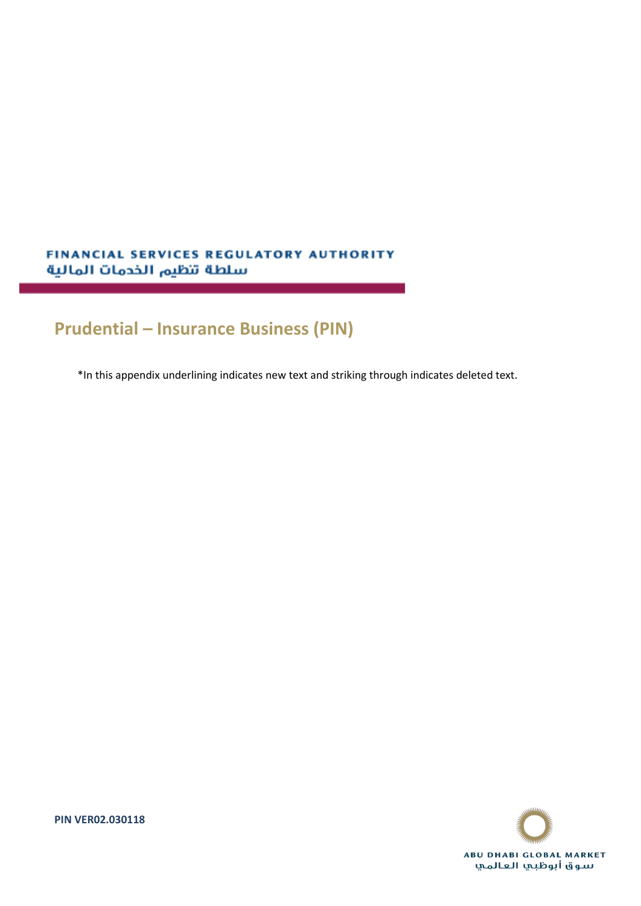# FINANCIAL SERVICES REGULATORY AUTHORITY سلطة تنظيم الخدمات المالية

# **Prudential – Insurance Business (PIN)**

\*In this appendix underlining indicates new text and striking through indicates deleted text.



**PIN VER02.030118**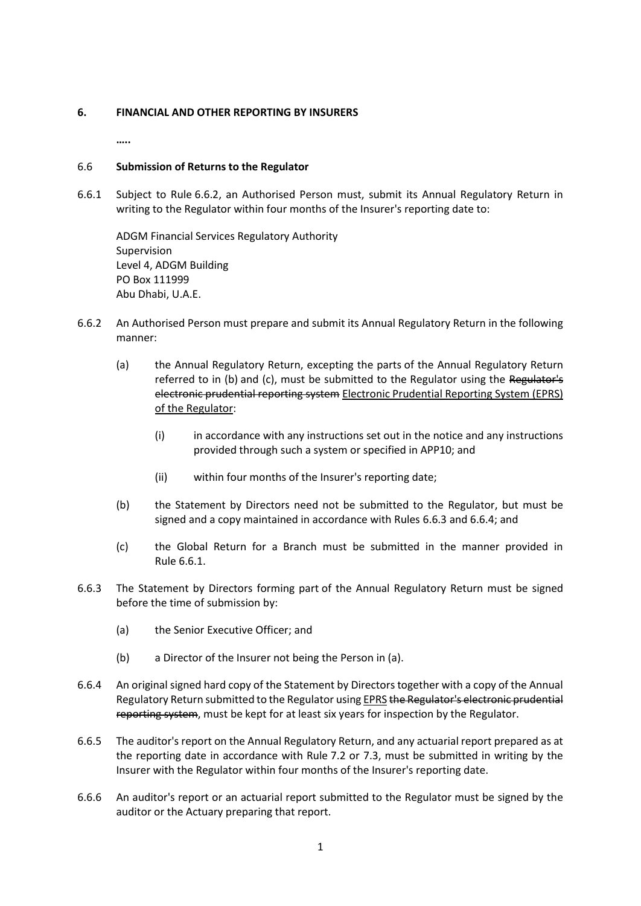# **6. FINANCIAL AND OTHER REPORTING BY INSURERS**

**…..**

# 6.6 **Submission of Returns to the Regulator**

6.6.1 Subject to Rule 6.6.2, an Authorised Person must, submit its Annual Regulatory Return in writing to the Regulator within four months of the Insurer's reporting date to:

ADGM Financial Services Regulatory Authority Supervision Level 4, ADGM Building PO Box 111999 Abu Dhabi, U.A.E.

- 6.6.2 An Authorised Person must prepare and submit its Annual Regulatory Return in the following manner:
	- (a) the Annual Regulatory Return, excepting the parts of the Annual Regulatory Return referred to in (b) and (c), must be submitted to the Regulator using the Regulator's electronic prudential reporting system Electronic Prudential Reporting System (EPRS) of the Regulator:
		- (i) in accordance with any instructions set out in the notice and any instructions provided through such a system or specified in APP10; and
		- (ii) within four months of the Insurer's reporting date;
	- (b) the Statement by Directors need not be submitted to the Regulator, but must be signed and a copy maintained in accordance with Rules 6.6.3 and 6.6.4; and
	- (c) the Global Return for a Branch must be submitted in the manner provided in Rule 6.6.1.
- 6.6.3 The Statement by Directors forming part of the Annual Regulatory Return must be signed before the time of submission by:
	- (a) the Senior Executive Officer; and
	- (b) a Director of the Insurer not being the Person in (a).
- 6.6.4 An original signed hard copy of the Statement by Directors together with a copy of the Annual Regulatory Return submitted to the Regulator using **EPRS the Regulator's electronic prudential** reporting system, must be kept for at least six years for inspection by the Regulator.
- 6.6.5 The auditor's report on the Annual Regulatory Return, and any actuarial report prepared as at the reporting date in accordance with Rule 7.2 or 7.3, must be submitted in writing by the Insurer with the Regulator within four months of the Insurer's reporting date.
- 6.6.6 An auditor's report or an actuarial report submitted to the Regulator must be signed by the auditor or the Actuary preparing that report.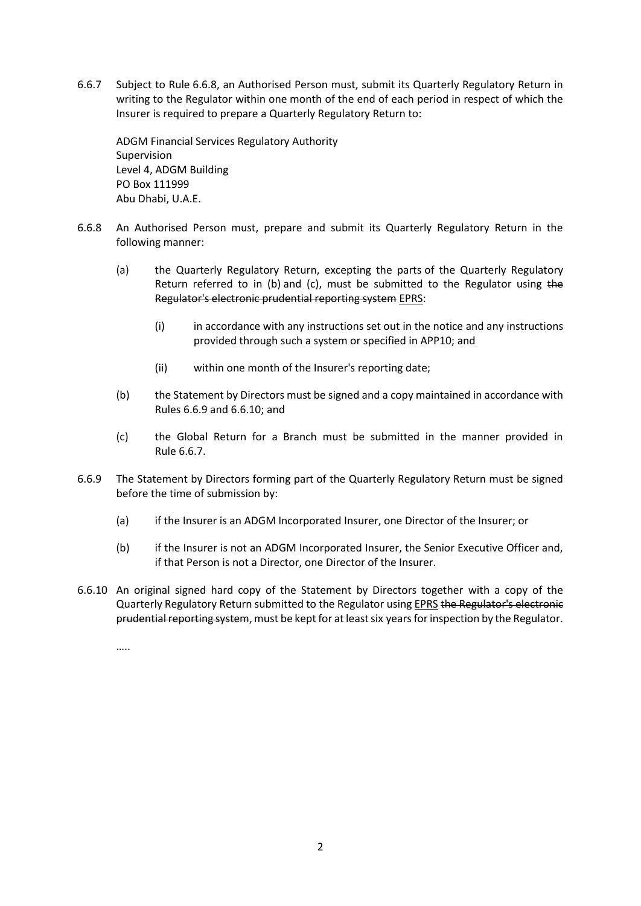6.6.7 Subject to Rule 6.6.8, an Authorised Person must, submit its Quarterly Regulatory Return in writing to the Regulator within one month of the end of each period in respect of which the Insurer is required to prepare a Quarterly Regulatory Return to:

ADGM Financial Services Regulatory Authority Supervision Level 4, ADGM Building PO Box 111999 Abu Dhabi, U.A.E.

- 6.6.8 An Authorised Person must, prepare and submit its Quarterly Regulatory Return in the following manner:
	- (a) the Quarterly Regulatory Return, excepting the parts of the Quarterly Regulatory Return referred to in (b) and (c), must be submitted to the Regulator using the Regulator's electronic prudential reporting system EPRS:
		- (i) in accordance with any instructions set out in the notice and any instructions provided through such a system or specified in APP10; and
		- (ii) within one month of the Insurer's reporting date;
	- (b) the Statement by Directors must be signed and a copy maintained in accordance with Rules 6.6.9 and 6.6.10; and
	- (c) the Global Return for a Branch must be submitted in the manner provided in Rule 6.6.7.
- 6.6.9 The Statement by Directors forming part of the Quarterly Regulatory Return must be signed before the time of submission by:
	- (a) if the Insurer is an ADGM Incorporated Insurer, one Director of the Insurer; or
	- (b) if the Insurer is not an ADGM Incorporated Insurer, the Senior Executive Officer and, if that Person is not a Director, one Director of the Insurer.
- 6.6.10 An original signed hard copy of the Statement by Directors together with a copy of the Quarterly Regulatory Return submitted to the Regulator using **EPRS the Regulator's electronic** prudential reporting system, must be kept for at least six years for inspection by the Regulator.

…..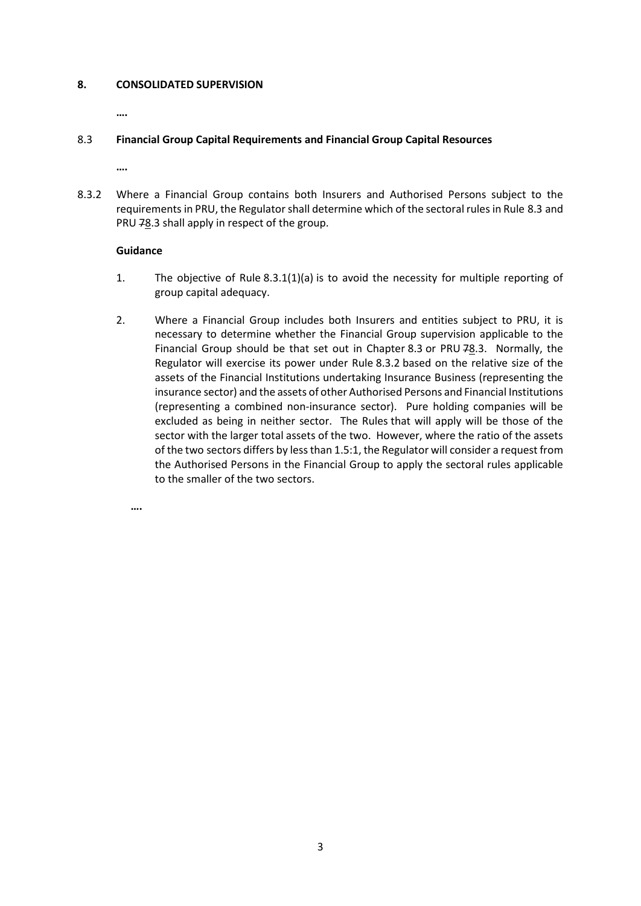#### **8. CONSOLIDATED SUPERVISION**

**….**

# 8.3 **Financial Group Capital Requirements and Financial Group Capital Resources**

**….**

8.3.2 Where a Financial Group contains both Insurers and Authorised Persons subject to the requirements in PRU, the Regulator shall determine which of the sectoral rules in Rule 8.3 and PRU 78.3 shall apply in respect of the group.

#### **Guidance**

**….**

- 1. The objective of Rule 8.3.1(1)(a) is to avoid the necessity for multiple reporting of group capital adequacy.
- 2. Where a Financial Group includes both Insurers and entities subject to PRU, it is necessary to determine whether the Financial Group supervision applicable to the Financial Group should be that set out in Chapter 8.3 or PRU  $78.3$ . Normally, the Regulator will exercise its power under Rule 8.3.2 based on the relative size of the assets of the Financial Institutions undertaking Insurance Business (representing the insurance sector) and the assets of other Authorised Persons and Financial Institutions (representing a combined non-insurance sector). Pure holding companies will be excluded as being in neither sector. The Rules that will apply will be those of the sector with the larger total assets of the two. However, where the ratio of the assets of the two sectors differs by less than 1.5:1, the Regulator will consider a request from the Authorised Persons in the Financial Group to apply the sectoral rules applicable to the smaller of the two sectors.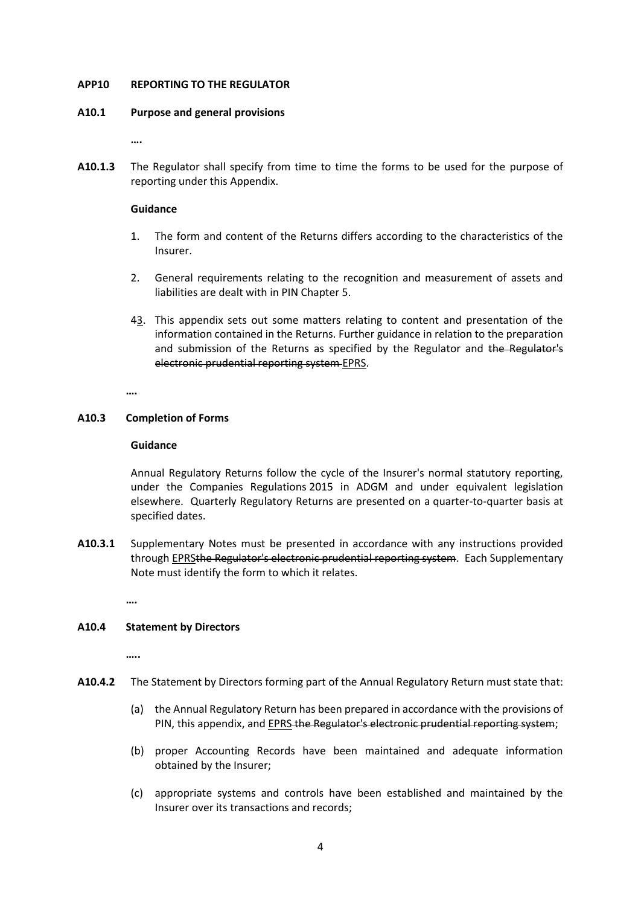#### **APP10 REPORTING TO THE REGULATOR**

#### **A10.1 Purpose and general provisions**

**….**

**A10.1.3** The Regulator shall specify from time to time the forms to be used for the purpose of reporting under this Appendix.

# **Guidance**

- 1. The form and content of the Returns differs according to the characteristics of the Insurer.
- 2. General requirements relating to the recognition and measurement of assets and liabilities are dealt with in PIN Chapter 5.
- 43. This appendix sets out some matters relating to content and presentation of the information contained in the Returns. Further guidance in relation to the preparation and submission of the Returns as specified by the Regulator and the Regulator's electronic prudential reporting system EPRS.

**….**

# **A10.3 Completion of Forms**

#### **Guidance**

Annual Regulatory Returns follow the cycle of the Insurer's normal statutory reporting, under the Companies Regulations 2015 in ADGM and under equivalent legislation elsewhere. Quarterly Regulatory Returns are presented on a quarter-to-quarter basis at specified dates.

**A10.3.1** Supplementary Notes must be presented in accordance with any instructions provided through EPRSthe Regulator's electronic prudential reporting system. Each Supplementary Note must identify the form to which it relates.

**….**

# **A10.4 Statement by Directors**

**…..**

- **A10.4.2** The Statement by Directors forming part of the Annual Regulatory Return must state that:
	- (a) the Annual Regulatory Return has been prepared in accordance with the provisions of PIN, this appendix, and **EPRS the Regulator's electronic prudential reporting system**;
	- (b) proper Accounting Records have been maintained and adequate information obtained by the Insurer;
	- (c) appropriate systems and controls have been established and maintained by the Insurer over its transactions and records;